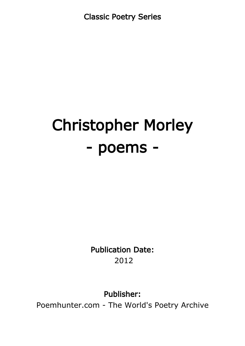Classic Poetry Series

# Christopher Morley - poems -

Publication Date: 2012

Publisher:

Poemhunter.com - The World's Poetry Archive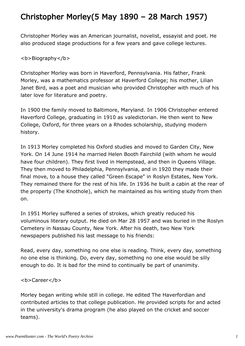# Christopher Morley(5 May 1890 – 28 March 1957)

Christopher Morley was an American journalist, novelist, essayist and poet. He also produced stage productions for a few years and gave college lectures.

#### <b>Biography</b>

Christopher Morley was born in Haverford, Pennsylvania. His father, Frank Morley, was a mathematics professor at Haverford College; his mother, Lilian Janet Bird, was a poet and musician who provided Christopher with much of his later love for literature and poetry.

In 1900 the family moved to Baltimore, Maryland. In 1906 Christopher entered Haverford College, graduating in 1910 as valedictorian. He then went to New College, Oxford, for three years on a Rhodes scholarship, studying modern history.

In 1913 Morley completed his Oxford studies and moved to Garden City, New York. On 14 June 1914 he married Helen Booth Fairchild (with whom he would have four children). They first lived in Hempstead, and then in Queens Village. They then moved to Philadelphia, Pennsylvania, and in 1920 they made their final move, to a house they called "Green Escape" in Roslyn Estates, New York. They remained there for the rest of his life. In 1936 he built a cabin at the rear of the property (The Knothole), which he maintained as his writing study from then on.

In 1951 Morley suffered a series of strokes, which greatly reduced his voluminous literary output. He died on Mar 28 1957 and was buried in the Roslyn Cemetery in Nassau County, New York. After his death, two New York newspapers published his last message to his friends:

Read, every day, something no one else is reading. Think, every day, something no one else is thinking. Do, every day, something no one else would be silly enough to do. It is bad for the mind to continually be part of unanimity.

#### <b>Career</b>

Morley began writing while still in college. He edited The Haverfordian and contributed articles to that college publication. He provided scripts for and acted in the university's drama program (he also played on the cricket and soccer teams).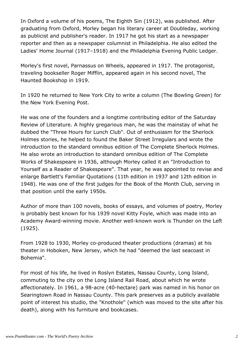In Oxford a volume of his poems, The Eighth Sin (1912), was published. After graduating from Oxford, Morley began his literary career at Doubleday, working as publicist and publisher's reader. In 1917 he got his start as a newspaper reporter and then as a newspaper columnist in Philadelphia. He also edited the Ladies' Home Journal (1917–1918) and the Philadelphia Evening Public Ledger.

Morley's first novel, Parnassus on Wheels, appeared in 1917. The protagonist, traveling bookseller Roger Mifflin, appeared again in his second novel, The Haunted Bookshop in 1919.

In 1920 he returned to New York City to write a column (The Bowling Green) for the New York Evening Post.

He was one of the founders and a longtime contributing editor of the Saturday Review of Literature. A highly gregarious man, he was the mainstay of what he dubbed the "Three Hours for Lunch Club". Out of enthusiasm for the Sherlock Holmes stories, he helped to found the Baker Street Irregulars and wrote the introduction to the standard omnibus edition of The Complete Sherlock Holmes. He also wrote an introduction to standard omnibus edition of The Complete Works of Shakespeare in 1936, although Morley called it an "Introduction to Yourself as a Reader of Shakespeare". That year, he was appointed to revise and enlarge Bartlett's Familiar Quotations (11th edition in 1937 and 12th edition in 1948). He was one of the first judges for the Book of the Month Club, serving in that position until the early 1950s.

Author of more than 100 novels, books of essays, and volumes of poetry, Morley is probably best known for his 1939 novel Kitty Foyle, which was made into an Academy Award-winning movie. Another well-known work is Thunder on the Left (1925).

From 1928 to 1930, Morley co-produced theater productions (dramas) at his theater in Hoboken, New Jersey, which he had "deemed the last seacoast in Bohemia".

For most of his life, he lived in Roslyn Estates, Nassau County, Long Island, commuting to the city on the Long Island Rail Road, about which he wrote affectionately. In 1961, a 98-acre (40-hectare) park was named in his honor on Searingtown Road in Nassau County. This park preserves as a publicly available point of interest his studio, the "Knothole" (which was moved to the site after his death), along with his furniture and bookcases.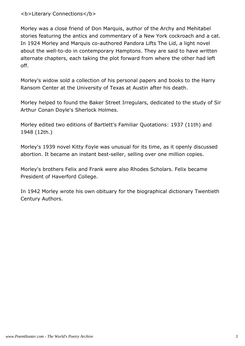#### <b>Literary Connections</b>

Morley was a close friend of Don Marquis, author of the Archy and Mehitabel stories featuring the antics and commentary of a New York cockroach and a cat. In 1924 Morley and Marquis co-authored Pandora Lifts The Lid, a light novel about the well-to-do in contemporary Hamptons. They are said to have written alternate chapters, each taking the plot forward from where the other had left off.

Morley's widow sold a collection of his personal papers and books to the Harry Ransom Center at the University of Texas at Austin after his death.

Morley helped to found the Baker Street Irregulars, dedicated to the study of Sir Arthur Conan Doyle's Sherlock Holmes.

Morley edited two editions of Bartlett's Familiar Quotations: 1937 (11th) and 1948 (12th.)

Morley's 1939 novel Kitty Foyle was unusual for its time, as it openly discussed abortion. It became an instant best-seller, selling over one million copies.

Morley's brothers Felix and Frank were also Rhodes Scholars. Felix became President of Haverford College.

In 1942 Morley wrote his own obituary for the biographical dictionary Twentieth Century Authors.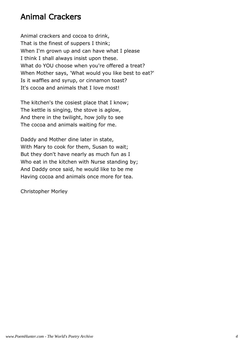#### Animal Crackers

Animal crackers and cocoa to drink, That is the finest of suppers I think; When I'm grown up and can have what I please I think I shall always insist upon these. What do YOU choose when you're offered a treat? When Mother says, 'What would you like best to eat?' Is it waffles and syrup, or cinnamon toast? It's cocoa and animals that I love most!

The kitchen's the cosiest place that I know; The kettle is singing, the stove is aglow, And there in the twilight, how jolly to see The cocoa and animals waiting for me.

Daddy and Mother dine later in state, With Mary to cook for them, Susan to wait; But they don't have nearly as much fun as I Who eat in the kitchen with Nurse standing by; And Daddy once said, he would like to be me Having cocoa and animals once more for tea.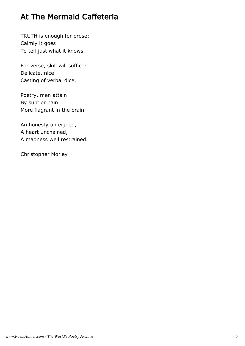# At The Mermaid Caffeteria

TRUTH is enough for prose: Calmly it goes To tell just what it knows.

For verse, skill will suffice-Delicate, nice Casting of verbal dice.

Poetry, men attain By subtler pain More flagrant in the brain-

An honesty unfeigned, A heart unchained, A madness well restrained.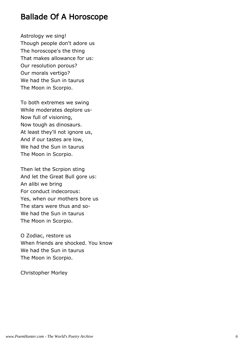#### Ballade Of A Horoscope

Astrology we sing! Though people don't adore us The horoscope's the thing That makes allowance for us: Our resolution porous? Our morals vertigo? We had the Sun in taurus The Moon in Scorpio.

To both extremes we swing While moderates deplore us-Now full of visioning, Now tough as dinosaurs. At least they'll not ignore us, And if our tastes are low, We had the Sun in taurus The Moon in Scorpio.

Then let the Scrpion sting And let the Great Bull gore us: An alibi we bring For conduct indecorous: Yes, when our mothers bore us The stars were thus and so-We had the Sun in taurus The Moon in Scorpio.

O Zodiac, restore us When friends are shocked. You know We had the Sun in taurus The Moon in Scorpio.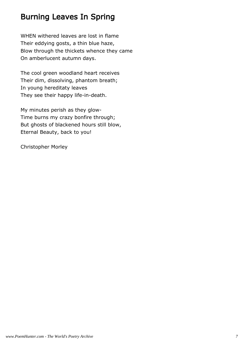#### Burning Leaves In Spring

WHEN withered leaves are lost in flame Their eddying gosts, a thin blue haze, Blow through the thickets whence they came On amberlucent autumn days.

The cool green woodland heart receives Their dim, dissolving, phantom breath; In young hereditaty leaves They see their happy life-in-death.

My minutes perish as they glow-Time burns my crazy bonfire through; But ghosts of blackened hours still blow, Eternal Beauty, back to you!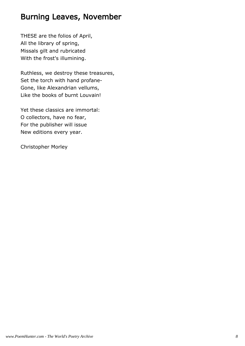#### Burning Leaves, November

THESE are the folios of April, All the library of spring, Missals gilt and rubricated With the frost's illumining.

Ruthless, we destroy these treasures, Set the torch with hand profane-Gone, like Alexandrian vellums, Like the books of burnt Louvain!

Yet these classics are immortal: O collectors, have no fear, For the publisher will issue New editions every year.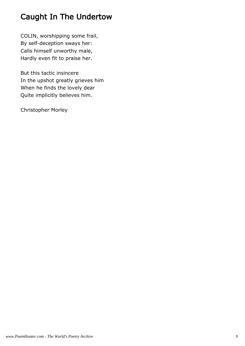# Caught In The Undertow

COLIN, worshipping some frail, By self-deception sways her: Calls himself unworthy male, Hardly even fit to praise her.

But this tactic insincere In the upshot greatly grieves him When he finds the lovely dear Quite implicitly believes him.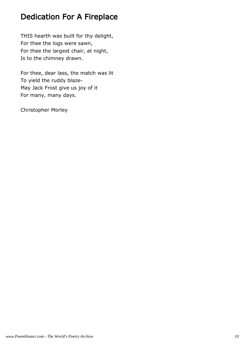#### Dedication For A Fireplace

THIS hearth was built for thy delight, For thee the logs were sawn, For thee the largest chair, at night, Is to the chimney drawn.

For thee, dear lass, the match was lit To yield the ruddy blaze-May Jack Frost give us joy of it For many, many days.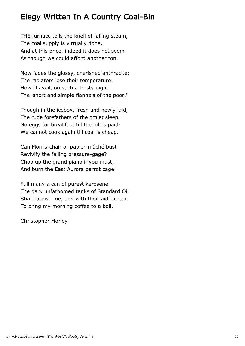# Elegy Written In A Country Coal-Bin

THE furnace tolls the knell of falling steam, The coal supply is virtually done, And at this price, indeed it does not seem As though we could afford another ton.

Now fades the glossy, cherished anthracite; The radiators lose their temperature: How ill avail, on such a frosty night, The 'short and simple flannels of the poor.'

Though in the icebox, fresh and newly laid, The rude forefathers of the omlet sleep, No eggs for breakfast till the bill is paid: We cannot cook again till coal is cheap.

Can Morris-chair or papier-mâché bust Revivify the falling pressure-gage? Chop up the grand piano if you must, And burn the East Aurora parrot cage!

Full many a can of purest kerosene The dark unfathomed tanks of Standard Oil Shall furnish me, and with their aid I mean To bring my morning coffee to a boil.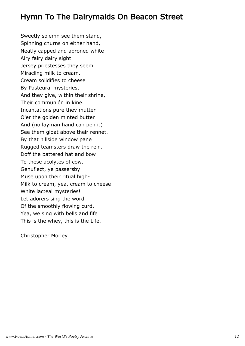## Hymn To The Dairymaids On Beacon Street

Sweetly solemn see them stand, Spinning churns on either hand, Neatly capped and aproned white Airy fairy dairy sight. Jersey priestesses they seem Miracling milk to cream. Cream solidifies to cheese By Pasteural mysteries, And they give, within their shrine, Their communión in kine. Incantations pure they mutter O'er the golden minted butter And (no layman hand can pen it) See them gloat above their rennet. By that hillside window pane Rugged teamsters draw the rein. Doff the battered hat and bow To these acolytes of cow. Genuflect, ye passersby! Muse upon their ritual high-Milk to cream, yea, cream to cheese White lacteal mysteries! Let adorers sing the word Of the smoothly flowing curd. Yea, we sing with bells and fife This is the whey, this is the Life.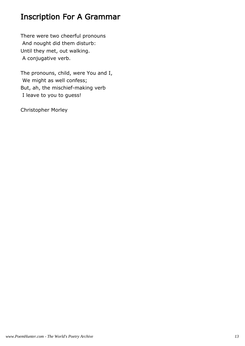# Inscription For A Grammar

There were two cheerful pronouns And nought did them disturb: Until they met, out walking. A conjugative verb.

The pronouns, child, were You and I, We might as well confess; But, ah, the mischief-making verb I leave to you to guess!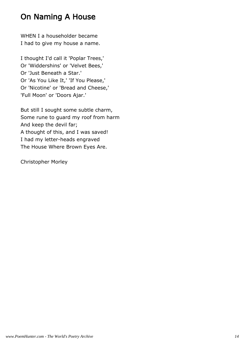# On Naming A House

WHEN I a householder became I had to give my house a name.

I thought I'd call it 'Poplar Trees,' Or 'Widdershins' or 'Velvet Bees,' Or 'Just Beneath a Star.' Or 'As You Like It,' 'If You Please,' Or 'Nicotine' or 'Bread and Cheese,' 'Full Moon' or 'Doors Ajar.'

But still I sought some subtle charm, Some rune to guard my roof from harm And keep the devil far; A thought of this, and I was saved! I had my letter-heads engraved The House Where Brown Eyes Are.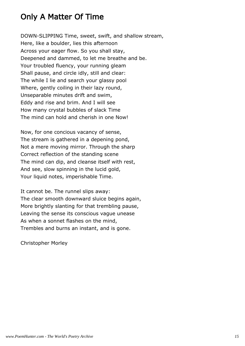## Only A Matter Of Time

DOWN-SLIPPING Time, sweet, swift, and shallow stream, Here, like a boulder, lies this afternoon Across your eager flow. So you shall stay, Deepened and dammed, to let me breathe and be. Your troubled fluency, your running gleam Shall pause, and circle idly, still and clear: The while I lie and search your glassy pool Where, gently coiling in their lazy round, Unseparable minutes drift and swim, Eddy and rise and brim. And I will see How many crystal bubbles of slack Time The mind can hold and cherish in one Now!

Now, for one concious vacancy of sense, The stream is gathered in a depening pond, Not a mere moving mirror. Through the sharp Correct reflection of the standing scene The mind can dip, and cleanse itself with rest, And see, slow spinning in the lucid gold, Your liquid notes, imperishable Time.

It cannot be. The runnel slips away: The clear smooth downward sluice begins again, More brightly slanting for that trembling pause, Leaving the sense its conscious vague unease As when a sonnet flashes on the mind, Trembles and burns an instant, and is gone.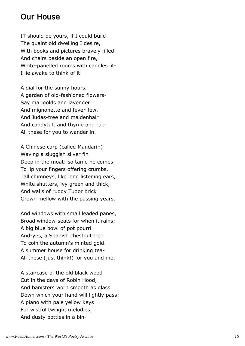#### Our House

IT should be yours, if I could build The quaint old dwelling I desire, With books and pictures bravely filled And chairs beside an open fire, White-panelled rooms with candles lit-I lie awake to think of it!

A dial for the sunny hours, A garden of old-fashioned flowers-Say marigolds and lavender And mignonette and fever-few, And Judas-tree and maidenhair And candytuft and thyme and rue-All these for you to wander in.

A Chinese carp (called Mandarin) Waving a sluggish silver fin Deep in the moat: so tame he comes To lip your fingers offering crumbs. Tall chimneys, like long listening ears, White shutters, ivy green and thick, And walls of ruddy Tudor brick Grown mellow with the passing years.

And windows with small leaded panes, Broad window-seats for when it rains; A big blue bowl of pot pourri And-yes, a Spanish chestnut tree To coin the autumn's minted gold. A summer house for drinking tea-All these (just think!) for you and me.

A staircase of the old black wood Cut in the days of Robin Hood, And banisters worn smooth as glass Down which your hand will lightly pass; A piano with pale yellow keys For wistful twilight melodies, And dusty bottles in a bin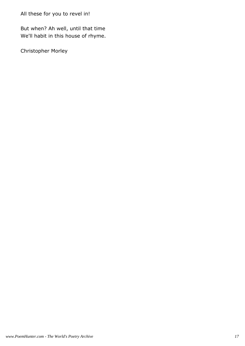But when? Ah well, until that time We'll habit in this house of rhyme.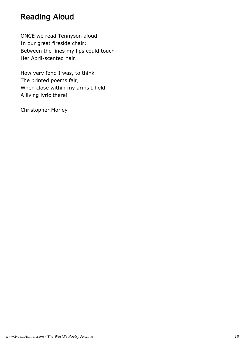# Reading Aloud

ONCE we read Tennyson aloud In our great fireside chair; Between the lines my lips could touch Her April-scented hair.

How very fond I was, to think The printed poems fair, When close within my arms I held A living lyric there!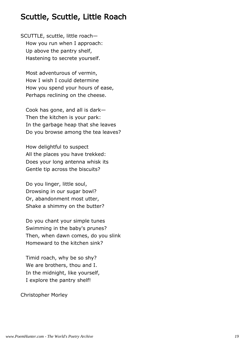#### Scuttle, Scuttle, Little Roach

SCUTTLE, scuttle, little roach— How you run when I approach: Up above the pantry shelf, Hastening to secrete yourself.

 Most adventurous of vermin, How I wish I could determine How you spend your hours of ease, Perhaps reclining on the cheese.

 Cook has gone, and all is dark— Then the kitchen is your park: In the garbage heap that she leaves Do you browse among the tea leaves?

 How delightful to suspect All the places you have trekked: Does your long antenna whisk its Gentle tip across the biscuits?

 Do you linger, little soul, Drowsing in our sugar bowl? Or, abandonment most utter, Shake a shimmy on the butter?

 Do you chant your simple tunes Swimming in the baby's prunes? Then, when dawn comes, do you slink Homeward to the kitchen sink?

 Timid roach, why be so shy? We are brothers, thou and I. In the midnight, like yourself, I explore the pantry shelf!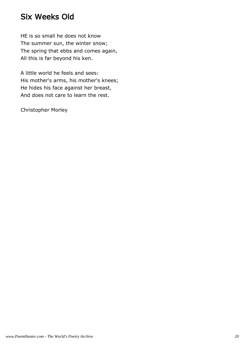## Six Weeks Old

HE is so small he does not know The summer sun, the winter snow; The spring that ebbs and comes again, All this is far beyond his ken.

A little world he feels and sees: His mother's arms, his mother's knees; He hides his face against her breast, And does not care to learn the rest.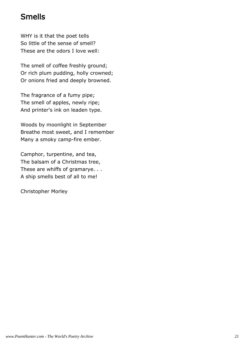## Smells

WHY is it that the poet tells So little of the sense of smell? These are the odors I love well:

The smell of coffee freshly ground; Or rich plum pudding, holly crowned; Or onions fried and deeply browned.

The fragrance of a fumy pipe; The smell of apples, newly ripe; And printer's ink on leaden type.

Woods by moonlight in September Breathe most sweet, and I remember Many a smoky camp-fire ember.

Camphor, turpentine, and tea, The balsam of a Christmas tree, These are whiffs of gramarye. . . A ship smells best of all to me!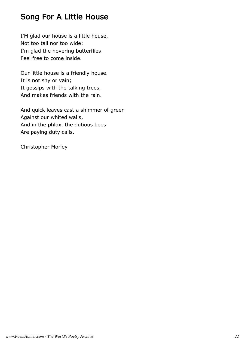# Song For A Little House

I'M glad our house is a little house, Not too tall nor too wide: I'm glad the hovering butterflies Feel free to come inside.

Our little house is a friendly house. It is not shy or vain; It gossips with the talking trees, And makes friends with the rain.

And quick leaves cast a shimmer of green Against our whited walls, And in the phlox, the dutious bees Are paying duty calls.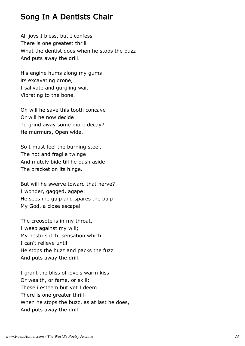#### Song In A Dentists Chair

All joys I bless, but I confess There is one greatest thrill What the dentist does when he stops the buzz And puts away the drill.

His engine hums along my gums its excavating drone, I salivate and gurgling wait Vibrating to the bone.

Oh will he save this tooth concave Or will he now decide To grind away some more decay? He murmurs, Open wide.

So I must feel the burning steel, The hot and fragile twinge And mutely bide till he push aside The bracket on its hinge.

But will he swerve toward that nerve? I wonder, gagged, agape: He sees me gulp and spares the pulp-My God, a close escape!

The creosote is in my throat, I weep against my will; My nostrils itch, sensation which I can't relieve until He stops the buzz and packs the fuzz And puts away the drill.

I grant the bliss of love's warm kiss Or wealth, or fame, or skill: These i esteem but yet I deem There is one greater thrill-When he stops the buzz, as at last he does, And puts away the drill.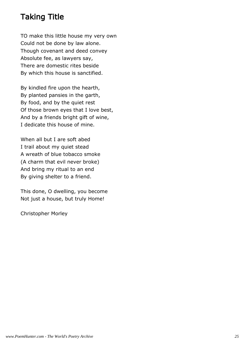# Taking Title

TO make this little house my very own Could not be done by law alone. Though covenant and deed convey Absolute fee, as lawyers say, There are domestic rites beside By which this house is sanctified.

By kindled fire upon the hearth, By planted pansies in the garth, By food, and by the quiet rest Of those brown eyes that I love best, And by a friends bright gift of wine, I dedicate this house of mine.

When all but I are soft abed I trail about my quiet stead A wreath of blue tobacco smoke (A charm that evil never broke) And bring my ritual to an end By giving shelter to a friend.

This done, O dwelling, you become Not just a house, but truly Home!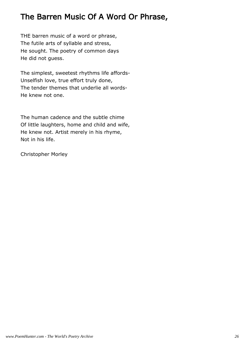## The Barren Music Of A Word Or Phrase,

THE barren music of a word or phrase, The futile arts of syllable and stress, He sought. The poetry of common days He did not guess.

The simplest, sweetest rhythms life affords-Unselfish love, true effort truly done, The tender themes that underlie all words-He knew not one.

The human cadence and the subtle chime Of little laughters, home and child and wife, He knew not. Artist merely in his rhyme, Not in his life.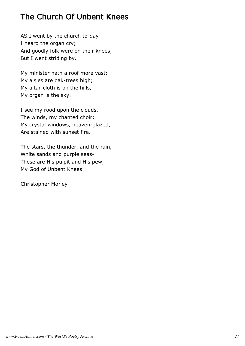# The Church Of Unbent Knees

AS I went by the church to-day I heard the organ cry; And goodly folk were on their knees, But I went striding by.

My minister hath a roof more vast: My aisles are oak-trees high; My altar-cloth is on the hills, My organ is the sky.

I see my rood upon the clouds, The winds, my chanted choir; My crystal windows, heaven-glazed, Are stained with sunset fire.

The stars, the thunder, and the rain, White sands and purple seas-These are His pulpit and His pew, My God of Unbent Knees!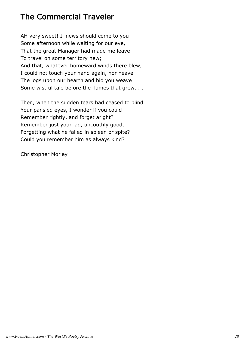# The Commercial Traveler

AH very sweet! If news should come to you Some afternoon while waiting for our eve, That the great Manager had made me leave To travel on some territory new; And that, whatever homeward winds there blew, I could not touch your hand again, nor heave The logs upon our hearth and bid you weave Some wistful tale before the flames that grew. . .

Then, when the sudden tears had ceased to blind Your pansied eyes, I wonder if you could Remember rightly, and forget aright? Remember just your lad, uncouthly good, Forgetting what he failed in spleen or spite? Could you remember him as always kind?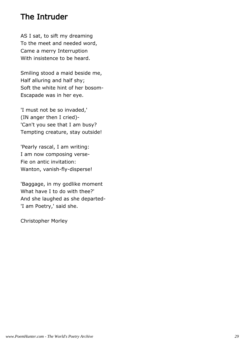#### The Intruder

AS I sat, to sift my dreaming To the meet and needed word, Came a merry Interruption With insistence to be heard.

Smiling stood a maid beside me, Half alluring and half shy; Soft the white hint of her bosom-Escapade was in her eye.

'I must not be so invaded,' (IN anger then I cried)- 'Can't you see that I am busy? Tempting creature, stay outside!

'Pearly rascal, I am writing: I am now composing verse-Fie on antic invitation: Wanton, vanish-fly-disperse!

'Baggage, in my godlike moment What have I to do with thee?' And she laughed as she departed- 'I am Poetry,' said she.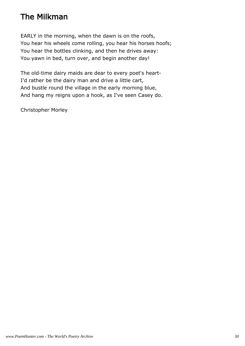# The Milkman

EARLY in the morning, when the dawn is on the roofs, You hear his wheels come rolling, you hear his horses hoofs; You hear the bottles clinking, and then he drives away: You yawn in bed, turn over, and begin another day!

The old-time dairy maids are dear to every poet's heart-I'd rather be the dairy man and drive a little cart, And bustle round the village in the early morning blue, And hang my reigns upon a hook, as I've seen Casey do.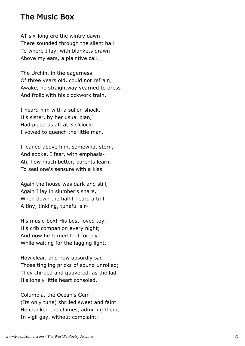#### The Music Box

AT six-long ere the wintry dawn-There sounded through the silent hall To where I lay, with blankets drawn Above my ears, a plaintive call.

The Urchin, in the eagerness Of three years old, could not refrain; Awake, he straightway yearned to dress And frolic with his clockwork train.

I heard him with a sullen shock. His sister, by her usual plan, Had piped us aft at 3 o'clock-I vowed to quench the little man.

I leaned above him, somewhat stern, And spoke, I fear, with emphasis-Ah, how much better, parents learn, To seal one's sensure with a kiss!

Again the house was dark and still, Again I lay in slumber's snare, When down the hall I heard a trill, A tiny, tinkling, tuneful air-

His music-box! His best-loved toy, His crib companion every night; And now he turned to it for joy While waiting for the lagging light.

How clear, and how absurdly sad Those tingling pricks of sound unrolled; They chirped and quavered, as the lad His lonely little heart consoled.

Columbia, the Ocean's Gem- (Its only tune) shrilled sweet and faint. He cranked the chimes, admiring them, In vigil gay, without complaint.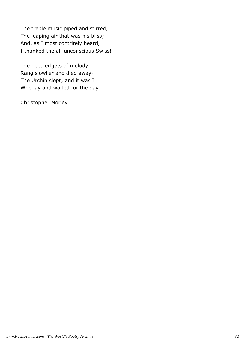The treble music piped and stirred, The leaping air that was his bliss; And, as I most contritely heard, I thanked the all-unconscious Swiss!

The needled jets of melody Rang slowlier and died away-The Urchin slept; and it was I Who lay and waited for the day.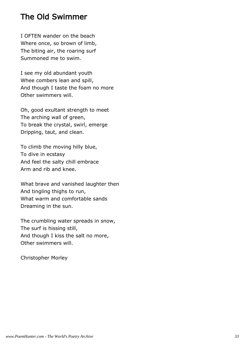#### The Old Swimmer

I OFTEN wander on the beach Where once, so brown of limb, The biting air, the roaring surf Summoned me to swim.

I see my old abundant youth Whee combers lean and spill, And though I taste the foam no more Other swimmers will.

Oh, good exultant strength to meet The arching wall of green, To break the crystal, swirl, emerge Dripping, taut, and clean.

To climb the moving hilly blue, To dive in ecstasy And feel the salty chill embrace Arm and rib and knee.

What brave and vanished laughter then And tingling thighs to run, What warm and comfortable sands Dreaming in the sun.

The crumbling water spreads in snow, The surf is hissing still, And though I kiss the salt no more, Other swimmers will.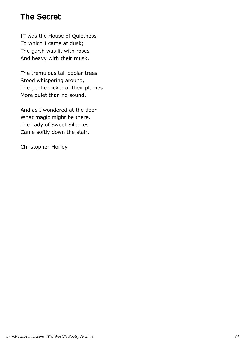### The Secret

IT was the House of Quietness To which I came at dusk; The garth was lit with roses And heavy with their musk.

The tremulous tall poplar trees Stood whispering around, The gentle flicker of their plumes More quiet than no sound.

And as I wondered at the door What magic might be there, The Lady of Sweet Silences Came softly down the stair.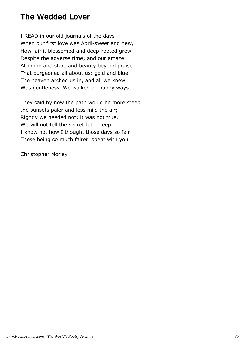## The Wedded Lover

I READ in our old journals of the days When our first love was April-sweet and new, How fair it blossomed and deep-rooted grew Despite the adverse time; and our amaze At moon and stars and beauty beyond praise That burgeoned all about us: gold and blue The heaven arched us in, and all we knew Was gentleness. We walked on happy ways.

They said by now the path would be more steep, the sunsets paler and less mild the air; Rightly we heeded not; it was not true. We will not tell the secret-let it keep. I know not how I thought those days so fair These being so much fairer, spent with you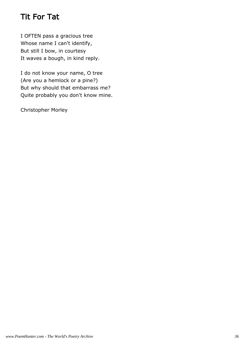# Tit For Tat

I OFTEN pass a gracious tree Whose name I can't identify, But still I bow, in courtesy It waves a bough, in kind reply.

I do not know your name, O tree (Are you a hemlock or a pine?) But why should that embarrass me? Quite probably you don't know mine.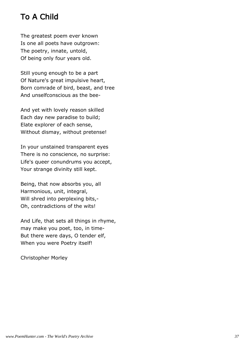# To A Child

The greatest poem ever known Is one all poets have outgrown: The poetry, innate, untold, Of being only four years old.

Still young enough to be a part Of Nature's great impulsive heart, Born comrade of bird, beast, and tree And unselfconscious as the bee-

And yet with lovely reason skilled Each day new paradise to build; Elate explorer of each sense, Without dismay, without pretense!

In your unstained transparent eyes There is no conscience, no surprise: Life's queer conundrums you accept, Your strange divinity still kept.

Being, that now absorbs you, all Harmonious, unit, integral, Will shred into perplexing bits,-Oh, contradictions of the wits!

And Life, that sets all things in rhyme, may make you poet, too, in time-But there were days, O tender elf, When you were Poetry itself!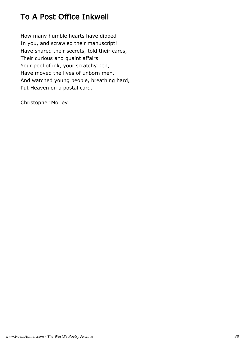# To A Post Office Inkwell

How many humble hearts have dipped In you, and scrawled their manuscript! Have shared their secrets, told their cares, Their curious and quaint affairs! Your pool of ink, your scratchy pen, Have moved the lives of unborn men, And watched young people, breathing hard, Put Heaven on a postal card.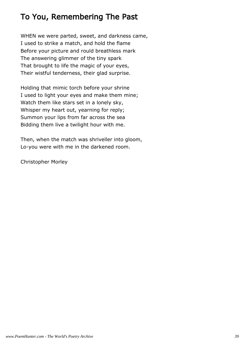# To You, Remembering The Past

WHEN we were parted, sweet, and darkness came, I used to strike a match, and hold the flame Before your picture and rould breathless mark The answering glimmer of the tiny spark That brought to life the magic of your eyes, Their wistful tenderness, their glad surprise.

Holding that mimic torch before your shrine I used to light your eyes and make them mine; Watch them like stars set in a lonely sky, Whisper my heart out, yearning for reply; Summon your lips from far across the sea Bidding them live a twilight hour with me.

Then, when the match was shriveller into gloom, Lo-you were with me in the darkened room.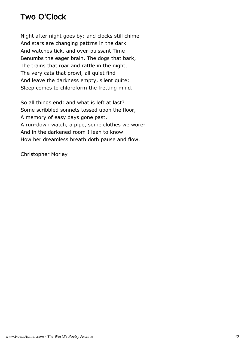## Two O'Clock

Night after night goes by: and clocks still chime And stars are changing pattrns in the dark And watches tick, and over-puissant Time Benumbs the eager brain. The dogs that bark, The trains that roar and rattle in the night, The very cats that prowl, all quiet find And leave the darkness empty, silent quite: Sleep comes to chloroform the fretting mind.

So all things end: and what is left at last? Some scribbled sonnets tossed upon the floor, A memory of easy days gone past, A run-down watch, a pipe, some clothes we wore-And in the darkened room I lean to know How her dreamless breath doth pause and flow.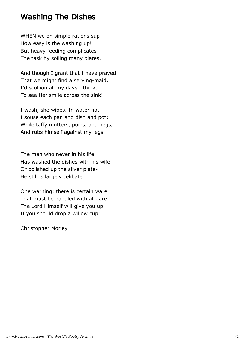#### Washing The Dishes

WHEN we on simple rations sup How easy is the washing up! But heavy feeding complicates The task by soiling many plates.

And though I grant that I have prayed That we might find a serving-maid, I'd scullion all my days I think, To see Her smile across the sink!

I wash, she wipes. In water hot I souse each pan and dish and pot; While taffy mutters, purrs, and begs, And rubs himself against my legs.

The man who never in his life Has washed the dishes with his wife Or polished up the silver plate-He still is largely celibate.

One warning: there is certain ware That must be handled with all care: The Lord Himself will give you up If you should drop a willow cup!